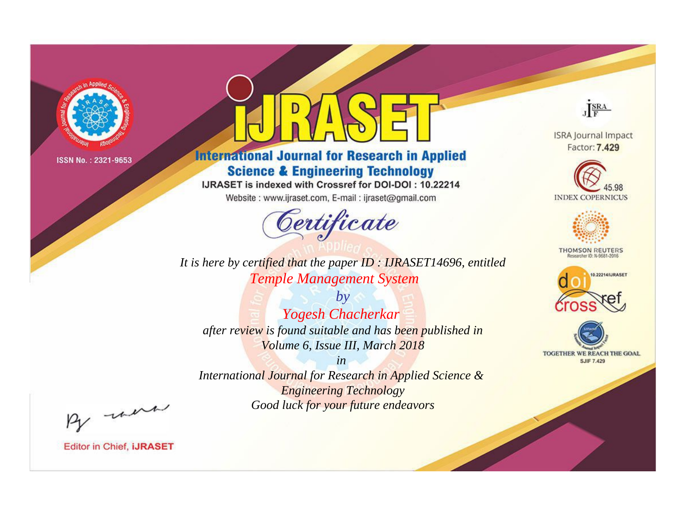

# **International Journal for Research in Applied Science & Engineering Technology**

IJRASET is indexed with Crossref for DOI-DOI: 10.22214

Website: www.ijraset.com, E-mail: ijraset@gmail.com



JERA

**ISRA Journal Impact** Factor: 7.429





**THOMSON REUTERS** 



TOGETHER WE REACH THE GOAL **SJIF 7.429** 

*It is here by certified that the paper ID : IJRASET14696, entitled Temple Management System*

*by Yogesh Chacherkar after review is found suitable and has been published in Volume 6, Issue III, March 2018*

*in* 

*International Journal for Research in Applied Science & Engineering Technology Good luck for your future endeavors*

By morn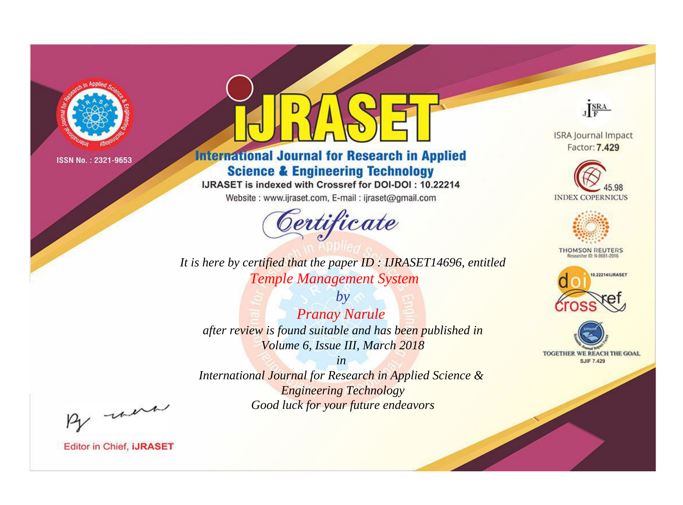

# **International Journal for Research in Applied Science & Engineering Technology**

IJRASET is indexed with Crossref for DOI-DOI: 10.22214

Website: www.ijraset.com, E-mail: ijraset@gmail.com



**ISRA Journal Impact** Factor: 7.429

JERA





**THOMSON REUTERS** 



TOGETHER WE REACH THE GOAL **SJIF 7.429** 

*It is here by certified that the paper ID : IJRASET14696, entitled Temple Management System*

*by Pranay Narule after review is found suitable and has been published in Volume 6, Issue III, March 2018*

*in* 

*International Journal for Research in Applied Science & Engineering Technology Good luck for your future endeavors*

By morn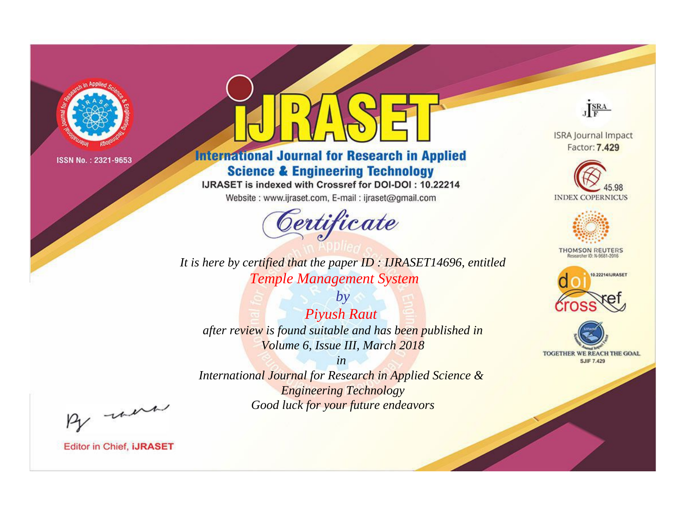

# **International Journal for Research in Applied Science & Engineering Technology**

IJRASET is indexed with Crossref for DOI-DOI: 10.22214

Website: www.ijraset.com, E-mail: ijraset@gmail.com



*It is here by certified that the paper ID : IJRASET14696, entitled Temple Management System*

*by Piyush Raut after review is found suitable and has been published in Volume 6, Issue III, March 2018*

*in International Journal for Research in Applied Science & Engineering Technology Good luck for your future endeavors*



**Editor in Chief, IJRASET** 

**ISRA Journal Impact** Factor: 7.429

JERA





**THOMSON REUTERS** 



TOGETHER WE REACH THE GOAL **SJIF 7.429**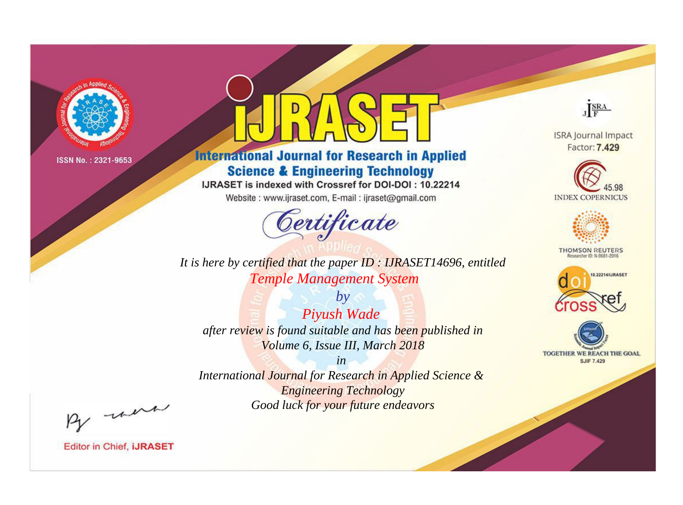

# **International Journal for Research in Applied Science & Engineering Technology**

IJRASET is indexed with Crossref for DOI-DOI: 10.22214

Website: www.ijraset.com, E-mail: ijraset@gmail.com



*It is here by certified that the paper ID : IJRASET14696, entitled Temple Management System*

*by Piyush Wade after review is found suitable and has been published in Volume 6, Issue III, March 2018*

*in International Journal for Research in Applied Science & Engineering Technology Good luck for your future endeavors*



**ISRA Journal Impact** Factor: 7.429





**THOMSON REUTERS** 





By morn